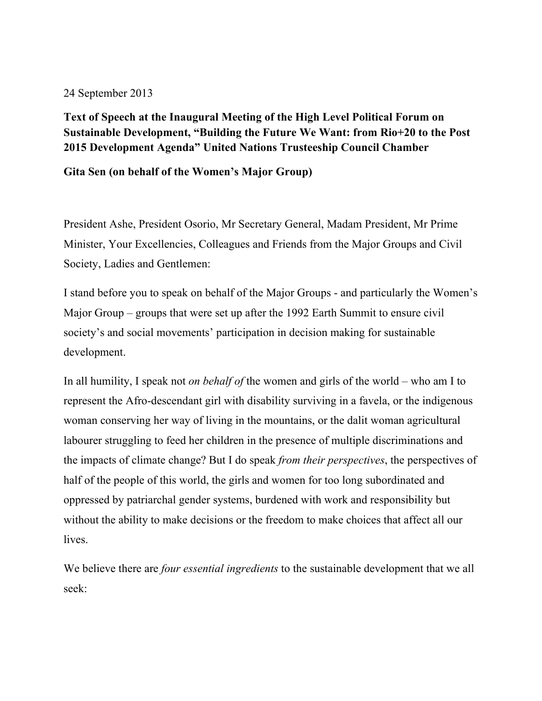24 September 2013

**Text of Speech at the Inaugural Meeting of the High Level Political Forum on Sustainable Development, "Building the Future We Want: from Rio+20 to the Post 2015 Development Agenda" United Nations Trusteeship Council Chamber**

**Gita Sen (on behalf of the Women's Major Group)**

President Ashe, President Osorio, Mr Secretary General, Madam President, Mr Prime Minister, Your Excellencies, Colleagues and Friends from the Major Groups and Civil Society, Ladies and Gentlemen:

I stand before you to speak on behalf of the Major Groups - and particularly the Women's Major Group – groups that were set up after the 1992 Earth Summit to ensure civil society's and social movements' participation in decision making for sustainable development.

In all humility, I speak not *on behalf of* the women and girls of the world – who am I to represent the Afro-descendant girl with disability surviving in a favela, or the indigenous woman conserving her way of living in the mountains, or the dalit woman agricultural labourer struggling to feed her children in the presence of multiple discriminations and the impacts of climate change? But I do speak *from their perspectives*, the perspectives of half of the people of this world, the girls and women for too long subordinated and oppressed by patriarchal gender systems, burdened with work and responsibility but without the ability to make decisions or the freedom to make choices that affect all our lives.

We believe there are *four essential ingredients* to the sustainable development that we all seek: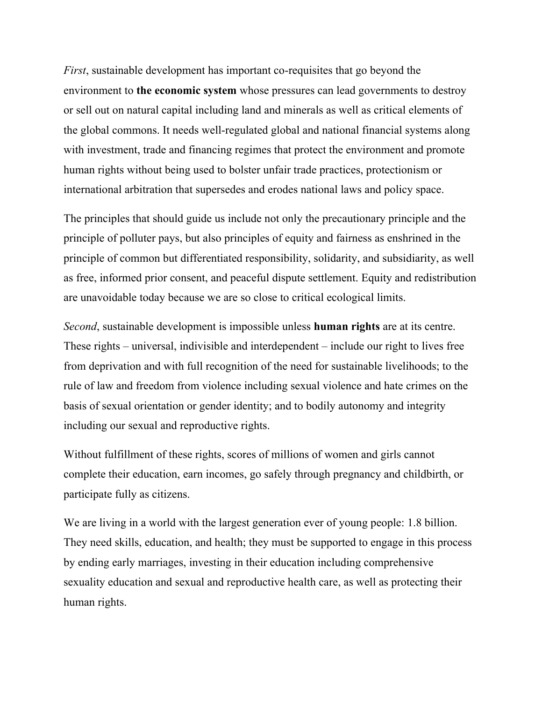*First*, sustainable development has important co-requisites that go beyond the environment to **the economic system** whose pressures can lead governments to destroy or sell out on natural capital including land and minerals as well as critical elements of the global commons. It needs well-regulated global and national financial systems along with investment, trade and financing regimes that protect the environment and promote human rights without being used to bolster unfair trade practices, protectionism or international arbitration that supersedes and erodes national laws and policy space.

The principles that should guide us include not only the precautionary principle and the principle of polluter pays, but also principles of equity and fairness as enshrined in the principle of common but differentiated responsibility, solidarity, and subsidiarity, as well as free, informed prior consent, and peaceful dispute settlement. Equity and redistribution are unavoidable today because we are so close to critical ecological limits.

*Second*, sustainable development is impossible unless **human rights** are at its centre. These rights – universal, indivisible and interdependent – include our right to lives free from deprivation and with full recognition of the need for sustainable livelihoods; to the rule of law and freedom from violence including sexual violence and hate crimes on the basis of sexual orientation or gender identity; and to bodily autonomy and integrity including our sexual and reproductive rights.

Without fulfillment of these rights, scores of millions of women and girls cannot complete their education, earn incomes, go safely through pregnancy and childbirth, or participate fully as citizens.

We are living in a world with the largest generation ever of young people: 1.8 billion. They need skills, education, and health; they must be supported to engage in this process by ending early marriages, investing in their education including comprehensive sexuality education and sexual and reproductive health care, as well as protecting their human rights.